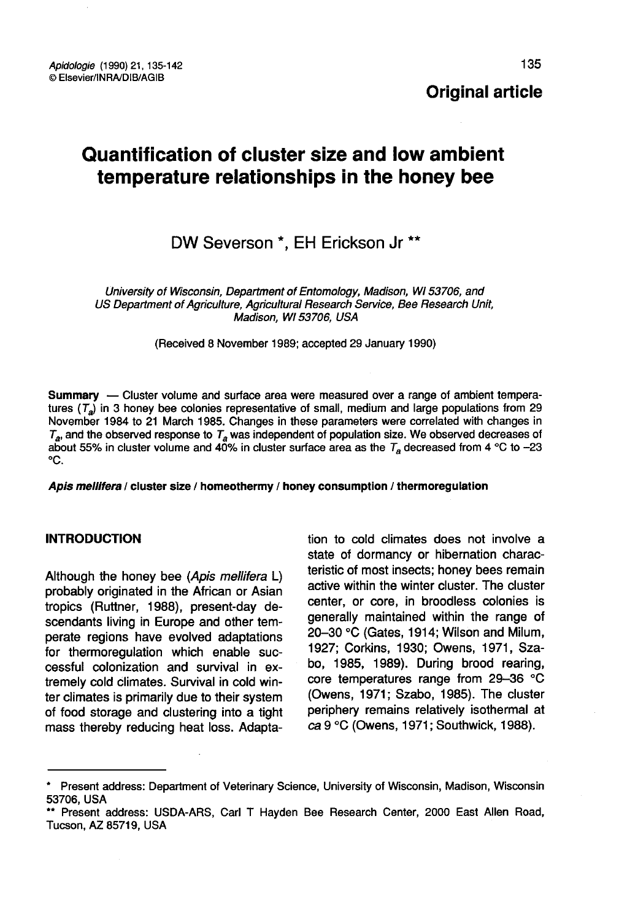135

# Quantification of cluster size and low ambient temperature relationships in the honey bee

# DW Severson \*. EH Erickson Jr \*\*

University of Wisconsin, Department of Entomology, Madison, WI 53706, and US Department of Agriculture, Agricultural Research Service, Bee Research Unit, Madison, WI 53706, USA

(Received 8 November 1989; accepted 29 January 1990)

**Summary** — Cluster volume and surface area were measured over a range of ambient tempera-<br>tures (T<sub>a</sub>) in 3 honey bee colonies representative of small, medium and large populations from 29 November 1984 to 21 March 1985. Changes in these parameters were correlated with changes in  $T_a$ , and the observed response to  $T_a$  was independent of population size. We observed decreases of about 55% in cluster volume and 40% in cluster surface area as the  $T_a$  decreased from 4 °C to -23 °C.

Apis mellifera / cluster size / homeothermy / honey consumption / thermoregulation

# INTRODUCTION

Although the honey bee (Apis mellifera L) probably originated in the African or Asian tropics (Ruttner, 1988), present-day descendants living in Europe and other temperate regions have evolved adaptations for thermoregulation which enable successful colonization and survival in extremely cold climates. Survival in cold winter climates is primarily due to their system of food storage and clustering into a tight mass thereby reducing heat loss. Adaptation to cold climates does not involve a state of dormancy or hibernation characteristic of most insects; honey bees remain active within the winter cluster. The cluster center, or core, in broodless colonies is generally maintained within the range of 20-30 °C (Gates, 1914; Wilson and Milum, 1927; Corkins, 1930; Owens, 1971, Szabo, 1985, 1989). During brood rearing, core temperatures range from 29-36 °C (Owens, 1971; Szabo, 1985). The cluster periphery remains relatively isothermal at ca 9 °C (Owens, 1971; Southwick, 1988).

<sup>\*</sup> Present address: Department of Veterinary Science, University of Wisconsin, Madison, Wisconsin

<sup>\*\*</sup> Present address: USDA-ARS, Carl T Hayden Bee Research Center, 2000 East Allen Road, Tucson, AZ 85719, USA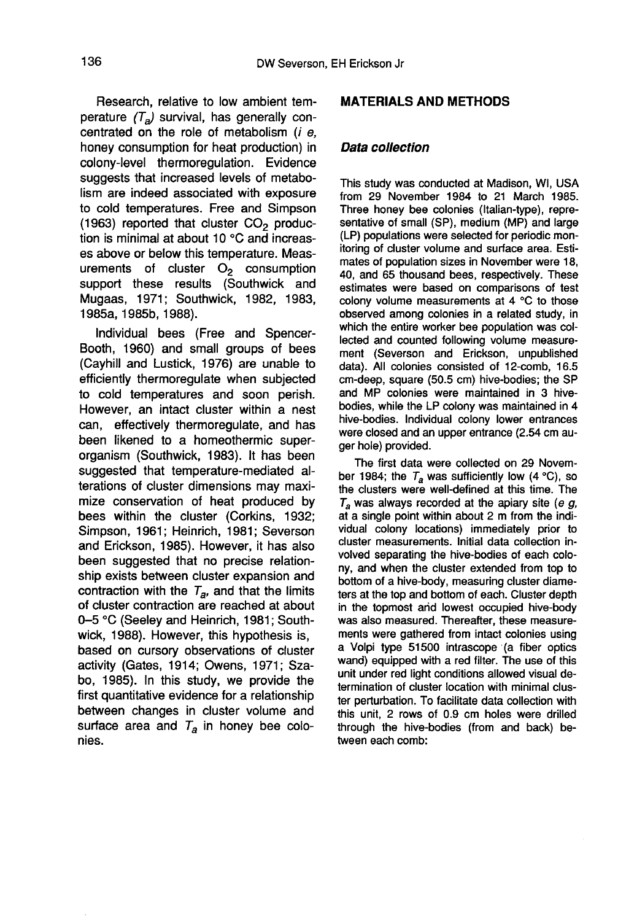Research, relative to low ambient temperature  $(T_a)$  survival, has generally concentrated on the role of metabolism (i e, honey consumption for heat production) in colony-level thermoregulation. Evidence suggests that increased levels of metabolism are indeed associated with exposure to cold temperatures. Free and Simpson (1963) reported that cluster  $CO<sub>2</sub>$  production is minimal at about 10 °C and increases above or below this temperature. Measurements of cluster  $O<sub>2</sub>$  consumption support these results (Southwick and Mugaas, 1971; Southwick, 1982, 1983, 1985a, 1985b, 1988).

Individual bees (Free and Spencer-Booth, 1960) and small groups of bees (Cayhill and Lustick, 1976) are unable to efficiently thermoregulate when subjected to cold temperatures and soon perish. However, an intact cluster within a nest can, effectively thermoregulate, and has been likened to a homeothermic superorganism (Southwick, 1983). It has been suggested that temperature-mediated alterations of cluster dimensions may maximize conservation of heat produced by bees within the cluster (Corkins, 1932; Simpson, 1961; Heinrich, 1981; Severson and Erickson, 1985). However, it has also been suggested that no precise relationship exists between cluster expansion and contraction with the  $T_{\rm a}$ , and that the limits of cluster contraction are reached at about 0-5 °C (Seeley and Heinrich, 1981; Southwick, 1988). However, this hypothesis is, based on cursory observations of cluster activity (Gates, 1914; Owens, 1971; Szabo, 1985). In this study, we provide the first quantitative evidence for a relationship between changes in cluster volume and surface area and  $T_a$  in honey bee colonies.

#### MATERIALS AND METHODS

#### Data collection

This study was conducted at Madison, WI, USA from 29 November 1984 to 21 March 1985. Three honey bee colonies (Italian-type), representative of small (SP), medium (MP) and large (LP) populations were selected for periodic monitoring of cluster volume and surface area. Estimates of population sizes in November were 18, 40, and 65 thousand bees, respectively. These estimates were based on comparisons of test colony volume measurements at 4 °C to those observed among colonies in a related study, in which the entire worker bee population was collected and counted following volume measurement (Severson and Erickson, unpublished data). All colonies consisted of 12-comb, 16.5 cm-deep, square (50.5 cm) hive-bodies; the SP and MP colonies were maintained in 3 hivebodies, while the LP colony was maintained in 4 hive-bodies. Individual colony lower entrances were closed and an upper entrance (2.54 cm auger hole) provided.

The first data were collected on 29 November 1984; the  $T_a$  was sufficiently low (4 °C), so the clusters were well-defined at this time. The  $T_a$  was always recorded at the apiary site (e g, at a single point within about 2 m from the individual colony locations) immediately prior to cluster measurements. Initial data collection involved separating the hive-bodies of each colony, and when the cluster extended from top to bottom of a hive-body, measuring cluster diameters at the top and bottom of each. Cluster depth in the topmost and lowest occupied hive-body was also measured. Thereafter, these measurements were gathered from intact colonies using a Volpi type 51500 intrascope (a fiber optics wand) equipped with a red filter. The use of this unit under red light conditions allowed visual determination of cluster location with minimal cluster perturbation. To facilitate data collection with this unit, 2 rows of 0.9 cm holes were drilled through the hive-bodies (from and back) between each comb: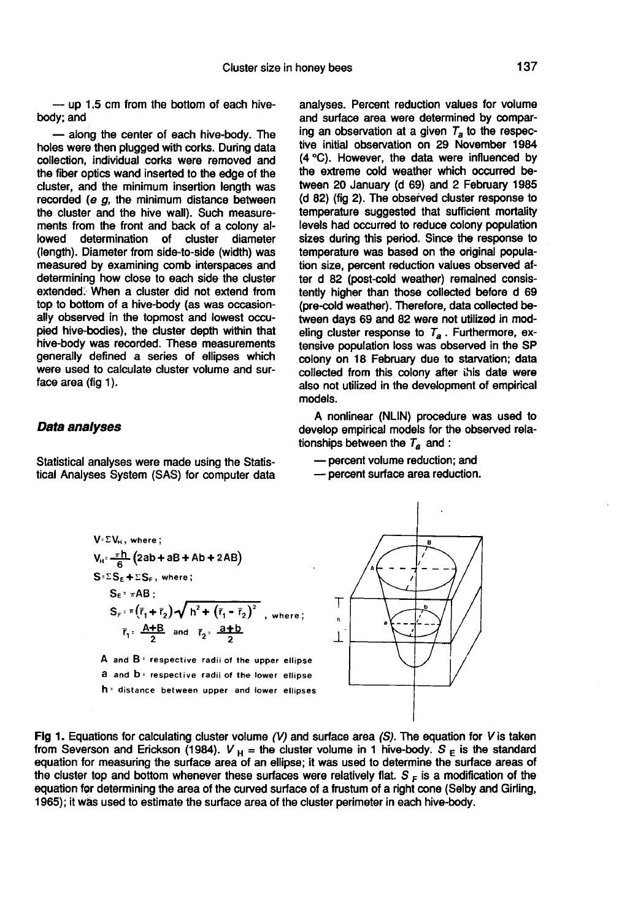— up 1.5 cm from the bottom of each hivebody; and

— along the center of each hive-body. The holes were then plugged with corks. During data collection, individual corks were removed and the fiber optics wand inserted to the edge of the cluster, and the minimum insertion length was recorded ( $e$   $g$ , the minimum distance between the cluster and the hive wall). Such measurements from the front and back of a colony allowed determination of cluster diameter determination of cluster diameter (length). Diameter from side-to-side (width) was measured by examining comb interspaces and determining how close to each side the cluster extended. When a cluster did not extend from top to bottom of a hive-body (as was occasionally observed in the topmost and lowest occupied hive-bodies), the cluster depth within that hive-body was recorded. These measurements generally defined a series of ellipses which were used to calculate cluster volume and surface area (fig 1).

#### Data analyses

Statistical analyses were made using the Statistical Analyses System (SAS) for computer data analyses. Percent reduction values for volume and surface area were determined by comparing an observation at a given  $T_a$  to the respective initial observation on 29 November 1984 (4 °C). However, the data were influenced by the extreme cold weather which occurred between 20 January (d 69) and 2 February 1985 (d 82) (fig 2). The observed cluster response to temperature suggested that sufficient mortality levels had occurred to reduce colony population sizes during this period. Since the response to temperature was based on the original population size, percent reduction values observed after d 82 (post-cold weather) remained consistently higher than those collected before d 69 (pre-cold weather). Therefore, data collected between days 69 and 82 were not utilized in modeling cluster response to  $T_a$ . Furthermore, extensive population loss was observed in the SP colony on 18 February due to starvation; data collected from this colony after this date were also not utilized in the development of empirical models.

A nonlinear (NLIN) procedure was used to develop empirical models for the observed relationships between the  $T_a$  and :

— percent volume reduction; and

— percent surface area reduction.



A and  $B$ <sup> $=$ </sup> respective radii of the upper ellipse a and b= respective radii of the lower ellipse h = distance between upper and lower ellipses



Fig 1. Equations for calculating cluster volume  $(V)$  and surface area (S). The equation for V is taken from Severson and Erickson (1984).  $V_H$  = the cluster volume in 1 hive-body. S  $_E$  is the standard equation for measuring the surface area of an ellipse; it was used to determine the surface areas of the cluster top and bottom whenever these surfaces were relatively flat.  $S_F$  is a modification of the equation for determining the area of the curved surface of a frustum of a right cone (Selby and Girling, 1965); it was used to estimate the surface area of the cluster perimeter in each hive-body.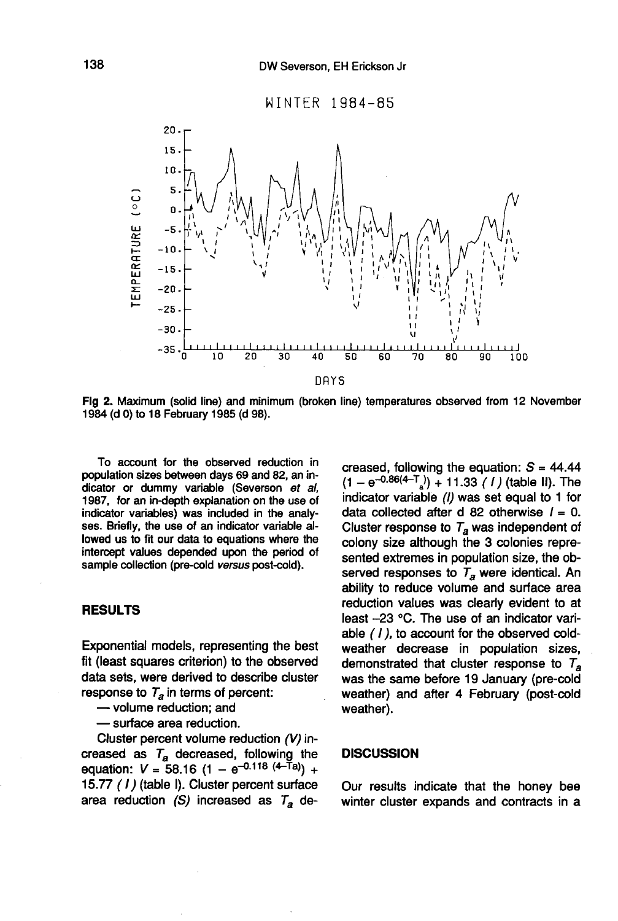

Fig 2. Maximum (solid line) and minimum (broken line) temperatures observed from 12 November 1984 (d 0) to 18 February 1985 (d 98).

To account for the observed reduction in population sizes between days 69 and 82, an indicator or dummy variable (Severson et al, 1987, for an in-depth explanation on the use of indicator variables) was included in the analy ses. Briefly, the use of an indicator variable allowed us to fit our data to equations where the intercept values depended upon the period of sample collection (pre-cold versus post-cold).

## RESULTS

Exponential models, representing the best fit (least squares criterion) to the observed data sets, were derived to describe cluster response to  $T_a$  in terms of percent:<br>
— volume reduction: and

— surface area reduction.

Cluster percent volume reduction (V) increased as  $T_a$  decreased, following the Cluster percent volume reduction (V) in-<br>creased as  $T_a$  decreased, following the<br>equation:  $V = 58.16 (1 - e^{-0.118 (4 - Ta)}) +$ <br>15.77 (1) (table I). Cluster percent surface 15.77 (I) (table I). Cluster percent surface area reduction (S) increased as  $T_a$  de-

creased, following the equation:  $S = 44.44$  $(1 - e^{-0.86(4 - T_s)}) + 11.33$  (1) (table II). The indicator variable (I) was set equal to 1 for data collected after d 82 otherwise  $I = 0$ . Cluster response to  $T_a$  was independent of colony size although the 3 colonies represented extremes in population size, the observed responses to  $T_a$  were identical. An ability to reduce volume and surface area reduction values was clearly evident to at least -23 °C. The use of an indicator variable ( I), to account for the observed coldweather decrease in population sizes, demonstrated that cluster response to  $T_a$  was the same before 19 January (pre-cold weather) and after 4 February (post-cold weather).

#### **DISCUSSION**

Our results indicate that the honey bee winter cluster expands and contracts in a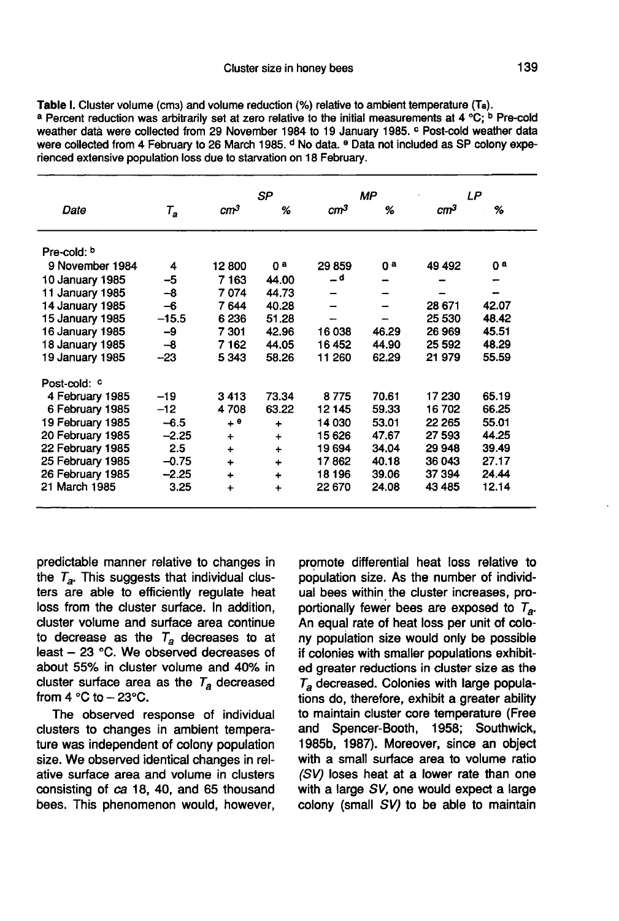Table I. Cluster volume (cms) and volume reduction (%) relative to ambient temperature (Ta). a Percent reduction was arbitrarily set at zero relative to the initial measurements at 4 °C; <sup>b</sup> Pre-cold weather data were collected from 29 November 1984 to 19 January 1985. <sup>c</sup> Post-cold weather data were collected from 4 February to 26 March 1985. <sup>d</sup> No data. <sup>e</sup> Data not included as SP colony experienced extensive population loss due to starvation on 18 February.

|                  |                                         |                 | SP          | MP              |       | LΡ              |       |
|------------------|-----------------------------------------|-----------------|-------------|-----------------|-------|-----------------|-------|
| Date             | $\tau_{\scriptscriptstyle{\mathsf{a}}}$ | cm <sup>3</sup> | %           | cm <sup>3</sup> | %     | cm <sup>3</sup> | %     |
| Pre-cold: b      |                                         |                 |             |                 |       |                 |       |
| 9 November 1984  | 4                                       | 12800           | Oа          | 29859           | 0ª    | 49 492          | Oа    |
| 10 January 1985  | $-5$                                    | 7163            | 44.00       | _ d             |       |                 |       |
| 11 January 1985  | $-8$                                    | 7074            | 44.73       |                 |       |                 |       |
| 14 January 1985  | -6                                      | 7644            | 40.28       |                 |       | 28 671          | 42.07 |
| 15 January 1985  | $-15.5$                                 | 6236            | 51.28       |                 |       | 25 530          | 48.42 |
| 16 January 1985  | -9                                      | 7 301           | 42.96       | 16038           | 46.29 | 26 969          | 45.51 |
| 18 January 1985  | $-8$                                    | 7162            | 44.05       | 16 452          | 44.90 | 25 5 9 2        | 48.29 |
| 19 January 1985  | $-23$                                   | 5 343           | 58.26       | 11 260          | 62.29 | 21979           | 55.59 |
| Post-cold: c     |                                         |                 |             |                 |       |                 |       |
| 4 February 1985  | $-19$                                   | 3413            | 73.34       | 8775            | 70.61 | 17 230          | 65.19 |
| 6 February 1985  | $-12$                                   | 4708            | 63.22       | 12 145          | 59.33 | 16702           | 66.25 |
| 19 February 1985 | $-6.5$                                  | $+$ $^{\circ}$  | ÷           | 14 030          | 53.01 | 22 265          | 55.01 |
| 20 February 1985 | $-2.25$                                 | $\ddot{}$       | $\ddot{}$   | 15 626          | 47.67 | 27 593          | 44.25 |
| 22 February 1985 | 2.5                                     | $\ddotmark$     | $\ddot{}$   | 19694           | 34.04 | 29 948          | 39.49 |
| 25 February 1985 | $-0.75$                                 | $\ddot{}$       | $\ddot{}$   | 17862           | 40.18 | 36 043          | 27.17 |
| 26 February 1985 | $-2.25$                                 | $\ddotmark$     | $\ddot{}$   | 18 196          | 39.06 | 37 394          | 24.44 |
| 21 March 1985    | 3.25                                    | ÷               | $\ddotmark$ | 22 670          | 24.08 | 43 4 85         | 12.14 |

predictable manner relative to changes in the  $T_a$ . This suggests that individual clusters are able to efficiently regulate heat loss from the cluster surface. In addition, cluster volume and surface area continue to decrease as the  $T_a$  decreases to at least  $-23$  °C. We observed decreases of about 55% in cluster volume and 40% in cluster surface area as the  $T_a$  decreased from  $4 °C$  to  $- 23 °C$ .

The observed response of individual clusters to changes in ambient temperature was independent of colony population size. We observed identical changes in relative surface area and volume in clusters consisting of ca 18, 40, and 65 thousand bees. This phenomenon would, however,

promote differential heat loss relative to population size. As the number of individual bees within the cluster increases, pro-<br>portionally fewer bees are exposed to  $T_a$ . An equal rate of heat loss per unit of colony population size would only be possible if colonies with smaller populations exhibited greater reductions in cluster size as the  $T<sub>a</sub>$  decreased. Colonies with large populations do, therefore, exhibit a greater ability to maintain cluster core temperature (Free and Spencer-Booth, 1958; Southwick, 1985b, 1987). Moreover, since an object with a small surface area to volume ratio (SV) loses heat at a lower rate than one with a large SV, one would expect a large colony (small SV) to be able to maintain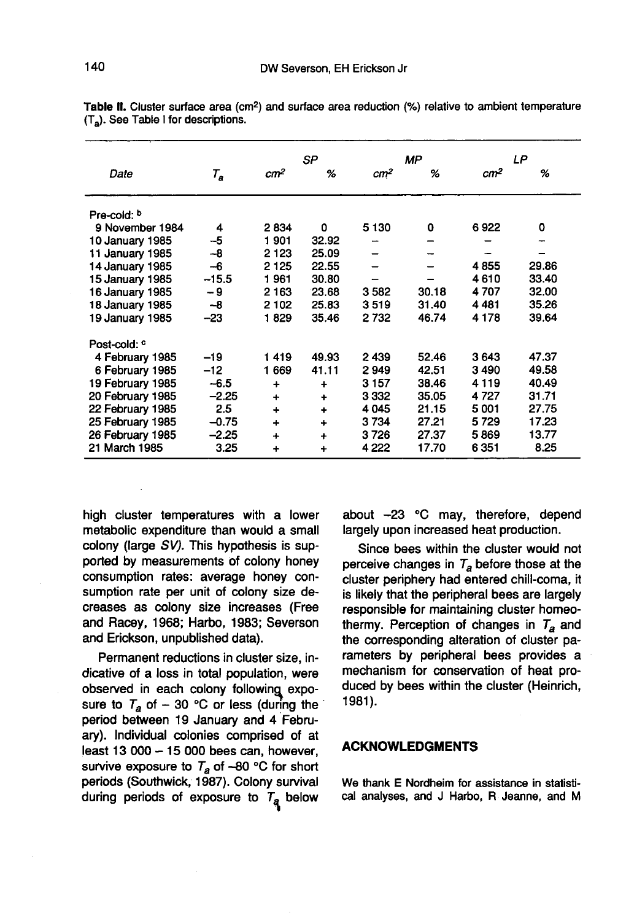|                  |         |                 | <b>SP</b> | <b>MP</b>       |       | LP              |       |
|------------------|---------|-----------------|-----------|-----------------|-------|-----------------|-------|
| Date             | $T_a$   | cm <sup>2</sup> | %         | cm <sup>2</sup> | %     | cm <sup>2</sup> | %     |
| Pre-cold: b      |         |                 |           |                 |       |                 |       |
| 9 November 1984  | 4       | 2834            | 0         | 5 1 3 0         | 0     | 6922            | 0     |
| 10 January 1985  | -5      | 1901            | 32.92     |                 |       |                 |       |
| 11 January 1985  | $-8$    | 2 1 2 3         | 25.09     |                 |       |                 |       |
| 14 January 1985  | -6      | 2 1 2 5         | 22.55     |                 |       | 4855            | 29.86 |
| 15 January 1985  | $-15.5$ | 1961            | 30.80     |                 |       | 4610            | 33.40 |
| 16 January 1985  | - 9     | 2 1 6 3         | 23.68     | 3582            | 30.18 | 4707            | 32.00 |
| 18 January 1985  | -8      | 2 102           | 25.83     | 3519            | 31.40 | 4481            | 35.26 |
| 19 January 1985  | -23     | 1829            | 35.46     | 2 732           | 46.74 | 4 1 7 8         | 39.64 |
| Post-cold: c     |         |                 |           |                 |       |                 |       |
| 4 February 1985  | $-19$   | 1419            | 49.93     | 2439            | 52.46 | 3643            | 47.37 |
| 6 February 1985  | $-12$   | 1 669           | 41.11     | 2949            | 42.51 | 3490            | 49.58 |
| 19 February 1985 | $-6.5$  | ÷               | $\ddot{}$ | 3 1 5 7         | 38.46 | 4 1 1 9         | 40.49 |
| 20 February 1985 | $-2.25$ | $\ddotmark$     | $\ddot{}$ | 3 3 3 2         | 35.05 | 4 7 2 7         | 31.71 |
| 22 February 1985 | 2.5     | $\ddotmark$     | $\ddot{}$ | 4 0 4 5         | 21.15 | 5001            | 27.75 |
| 25 February 1985 | $-0.75$ | $\ddotmark$     | $\div$    | 3734            | 27.21 | 5729            | 17.23 |
| 26 February 1985 | $-2.25$ | $\ddot{}$       | $\ddot{}$ | 3726            | 27.37 | 5869            | 13.77 |
| 21 March 1985    | 3.25    | +               | $\ddot{}$ | 4 2 2 2         | 17.70 | 6 3 5 1         | 8.25  |

Table II. Cluster surface area (cm<sup>2</sup>) and surface area reduction (%) relative to ambient temperature (T.). See Table I for descriptions.

high cluster temperatures with a lower metabolic expenditure than would a small colony (large SV). This hypothesis is supported by measurements of colony honey consumption rates: average honey consumption rate per unit of colony size decreases as colony size increases (Free and Racey, 1968; Harbo, 1983; Severson and Erickson, unpublished data).

Permanent reductions in cluster size, indicative of a loss in total population, were observed in each colony following exposure to  $T_a$  of  $-$  30 °C or less (during the period between 19 January and 4 February). Individual colonies comprised of at least 13 000  $-$  15 000 bees can, however, survive exposure to  $T_a$  of -80 °C for short periods (Southwick, 1987). Colony survival during periods of exposure to  $T_a$  below about -23 °C may, therefore, depend largely upon increased heat production.

Since bees within the cluster would not perceive changes in  $T_a$  before those at the cluster periphery had entered chill-coma, it is likely that the peripheral bees are largely responsible for maintaining cluster homeothermy. Perception of changes in  $T_a$  and the corresponding alteration of cluster parameters by peripheral bees provides a mechanism for conservation of heat produced by bees within the cluster (Heinrich, 1981 ).

### ACKNOWLEDGMENTS

We thank E Nordheim for assistance in statistical analyses, and J Harbo, R Jeanne, and M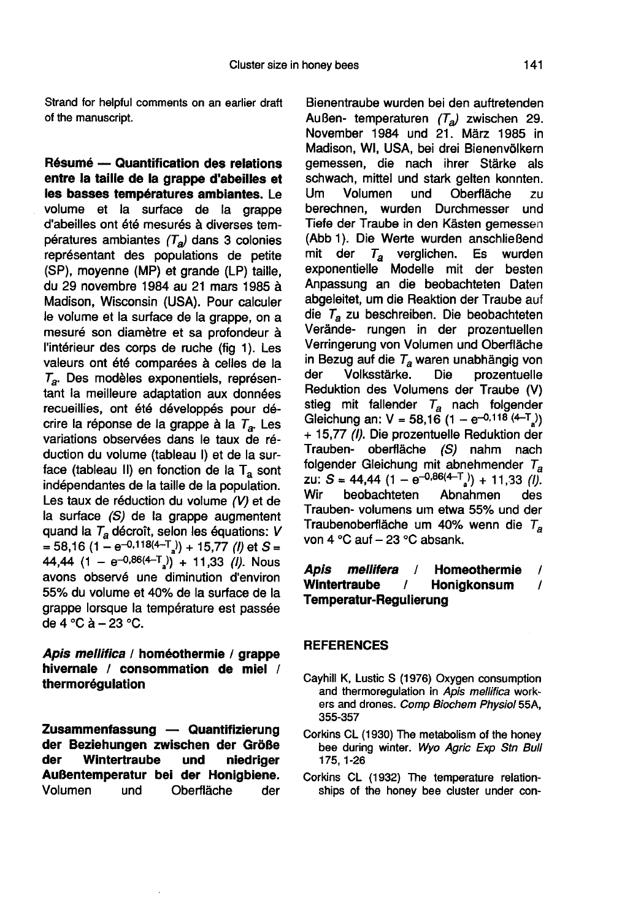Résumé — Quantification des relations entre la taille de la grappe d'abeilles et les basses températures ambiantes. Le volume et la surface de la grappe d'abeilles ont été mesurés à diverses températures ambiantes  $(T_a)$  dans 3 colonies représentant des populations de petite (SP), moyenne (MP) et grande (LP) taille, du 29 novembre 1984 au 21 mars 1985 à Madison, Wisconsin (USA). Pour calculer le volume et la surface de la grappe, on a mesuré son diamètre et sa profondeur à l'intérieur des corps de ruche (fig 1). Les valeurs ont été comparées à celles de la  $T_a$ . Des modèles exponentiels, représentant la meilleure adaptation aux données recueillies, ont été développés pour décrire la réponse de la grappe à la  $T_a$ . Les variations observées dans le taux de réduction du volume (tableau I) et de la surface (tableau II) en fonction de la  $T_a$  sont indépendantes de la taille de la population. Les taux de réduction du volume (V) et de la surface (S) de la grappe augmentent<br>quand la  $T_a$  décroît, selon les équations: V face (tableau II) en fonction de la T<sub>a</sub> sont<br>indépendantes de la taille de la population.<br>Les taux de réduction du volume *(V)* et de<br>la surface *(S)* de la grappe augmentent<br>quand la T<sub>a</sub> décroît, selon les équations: the staux de réduction du volume (V) et de<br>la surface (S) de la grappe augmentent<br>quand la  $T_a$  décroît, selon les équations: V<br>= 58,16 (1 – e<sup>-0,118(4-T</sup><sub>a</sub>)) + 15,77 (*I*) et S =<br>44,44 (1 – e<sup>-0,86(4-T<sub>a</sub>)) + 11,33 (*I*</sup> avons observé une diminution d'environ 55% du volume et 40% de la surface de la grappe lorsque la température est passée de 4 °C à  $-$  23 °C.

Apis mellifica / homéothermie / grappe hivernale / consommation de miel / thermorégulation

Zusammenfassung — Quantifizierung der Beziehungen zwischen der Größe<br>der Wintertraube und niedriger Wintertraube und niedriger **Außentemperatur bei der Honigbiene.**<br>Volumen und Oberfläche der und Oberfläche der

Bienentraube wurden bei den auftretenden Außen- temperaturen  $(T_a)$  zwischen 29. November 1984 und 21. März 1985 in Madison, WI, USA, bei drei Bienenvölkern gemessen, die nach ihrer Stärke als schwach, mittel und stark gelten konnten. Um Volumen und Oberfläche zu berechnen, wurden Durchmesser und Tiefe der Traube in den Kästen gemessen (Abb 1). Die Werte wurden anschließend<br>mit der  $T_a$  verglichen. Es wurden  $T_a$  verglichen. exponentielle Modelle mit der besten Anpassung an die beobachteten Daten abgeleitet, um die Reaktion der Traube auf die  $T_a$  zu beschreiben. Die beobachteten Verände- rungen in der prozentuellen Verringerung von Volumen und Oberfläche in Bezug auf die  $T_{\alpha}$  waren unabhängig von<br>der Volksstärke. Die prozentuelle prozentuelle Reduktion des Volumens der Traube (V) stieg mit fallender  $T_a$  nach folgender Reduktion des Volumens der Traube (V)<br>Stieg mit fallender  $T_a$  nach folgender<br>Gleichung an: V = 58,16 (1 – e<sup>-0,118 (4-T</sup><sub>a</sub>)<br>+ 15,77 (*I*). Die prozentuelle Reduktion der Trauben- oberfläche (S) nahm nach<br>folgender Gleichung mit abnehmender T<sub>a</sub> Gleichung an: V = 58,16 (1 - e<sup>-0,118 (4-T<sub>a</sub>) + 15,77 (*I)*. Die prozentuelle Reduktion der Trauben- oberfläche (*S*) nahm nach folgender Gleichung mit abnehmender  $T_a$  zu: *S* = 44,44 (1 - e<sup>-0,86(4-T<sub>a</sub>) + 11,33 (*I)*.</sup></sup> beobachteten Trauben- volumens um etwa 55% und der Traubenoberfläche um 40% wenn die  $T_a$  von 4 °C auf - 23 °C absank.

# A*pis mellifera /* Homeothermie /<br>Wintertraube / Honigkonsum / / Honigkonsum Temperatur-Regulierung

# REFERENCES

- Cayhill K, Lustic S (1976) Oxygen consumption and thermoregulation in Apis mellifica workers and drones. Comp Biochem Physiol 55A, 355-357
- Corkins CL (1930) The metabolism of the honey bee during winter. Wyo Agric Exp Stn Bull 175, 1-26
- Corkins CL (1932) The temperature relationships of the honey bee cluster under con-